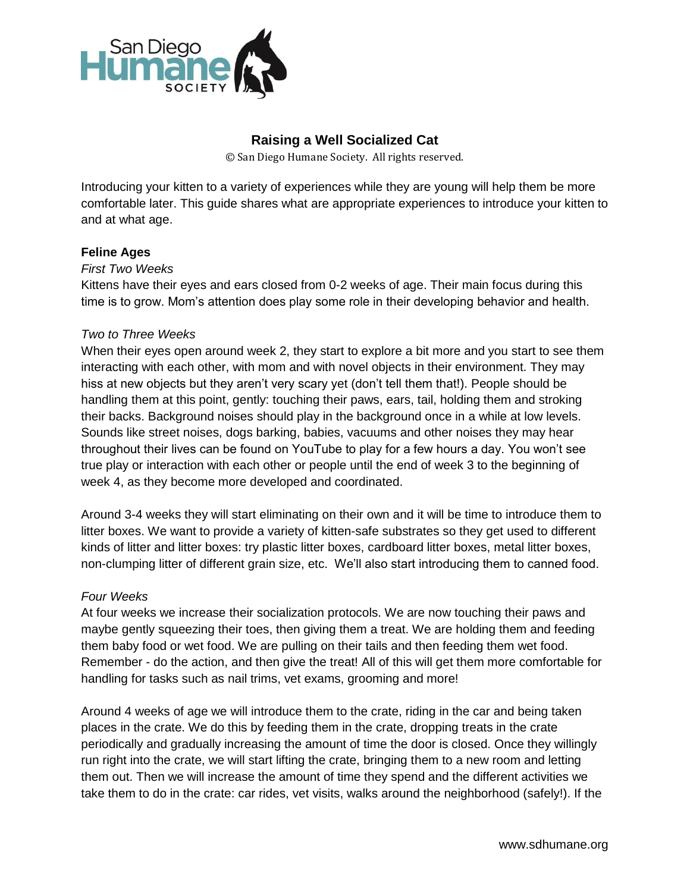

# **Raising a Well Socialized Cat**

© San Diego Humane Society. All rights reserved.

Introducing your kitten to a variety of experiences while they are young will help them be more comfortable later. This guide shares what are appropriate experiences to introduce your kitten to and at what age.

### **Feline Ages**

#### *First Two Weeks*

Kittens have their eyes and ears closed from 0-2 weeks of age. Their main focus during this time is to grow. Mom's attention does play some role in their developing behavior and health.

#### *Two to Three Weeks*

When their eyes open around week 2, they start to explore a bit more and you start to see them interacting with each other, with mom and with novel objects in their environment. They may hiss at new objects but they aren't very scary yet (don't tell them that!). People should be handling them at this point, gently: touching their paws, ears, tail, holding them and stroking their backs. Background noises should play in the background once in a while at low levels. Sounds like street noises, dogs barking, babies, vacuums and other noises they may hear throughout their lives can be found on YouTube to play for a few hours a day. You won't see true play or interaction with each other or people until the end of week 3 to the beginning of week 4, as they become more developed and coordinated.

Around 3-4 weeks they will start eliminating on their own and it will be time to introduce them to litter boxes. We want to provide a variety of kitten-safe substrates so they get used to different kinds of litter and litter boxes: try plastic litter boxes, cardboard litter boxes, metal litter boxes, non-clumping litter of different grain size, etc. We'll also start introducing them to canned food.

### *Four Weeks*

At four weeks we increase their socialization protocols. We are now touching their paws and maybe gently squeezing their toes, then giving them a treat. We are holding them and feeding them baby food or wet food. We are pulling on their tails and then feeding them wet food. Remember - do the action, and then give the treat! All of this will get them more comfortable for handling for tasks such as nail trims, vet exams, grooming and more!

Around 4 weeks of age we will introduce them to the crate, riding in the car and being taken places in the crate. We do this by feeding them in the crate, dropping treats in the crate periodically and gradually increasing the amount of time the door is closed. Once they willingly run right into the crate, we will start lifting the crate, bringing them to a new room and letting them out. Then we will increase the amount of time they spend and the different activities we take them to do in the crate: car rides, vet visits, walks around the neighborhood (safely!). If the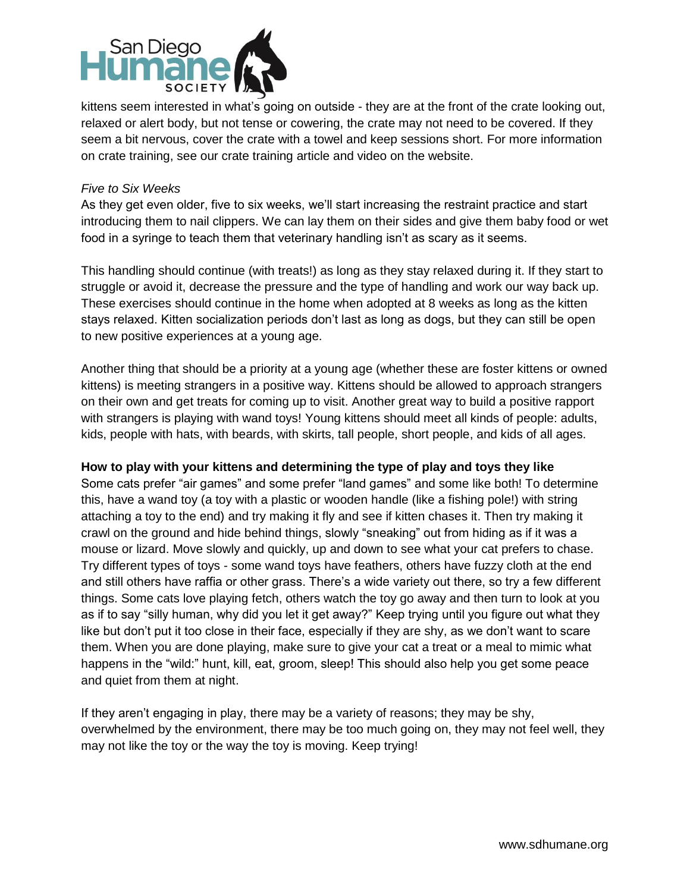

kittens seem interested in what's going on outside - they are at the front of the crate looking out, relaxed or alert body, but not tense or cowering, the crate may not need to be covered. If they seem a bit nervous, cover the crate with a towel and keep sessions short. For more information on crate training, see our crate training article and video on the website.

#### *Five to Six Weeks*

As they get even older, five to six weeks, we'll start increasing the restraint practice and start introducing them to nail clippers. We can lay them on their sides and give them baby food or wet food in a syringe to teach them that veterinary handling isn't as scary as it seems.

This handling should continue (with treats!) as long as they stay relaxed during it. If they start to struggle or avoid it, decrease the pressure and the type of handling and work our way back up. These exercises should continue in the home when adopted at 8 weeks as long as the kitten stays relaxed. Kitten socialization periods don't last as long as dogs, but they can still be open to new positive experiences at a young age.

Another thing that should be a priority at a young age (whether these are foster kittens or owned kittens) is meeting strangers in a positive way. Kittens should be allowed to approach strangers on their own and get treats for coming up to visit. Another great way to build a positive rapport with strangers is playing with wand toys! Young kittens should meet all kinds of people: adults, kids, people with hats, with beards, with skirts, tall people, short people, and kids of all ages.

### **How to play with your kittens and determining the type of play and toys they like**

Some cats prefer "air games" and some prefer "land games" and some like both! To determine this, have a wand toy (a toy with a plastic or wooden handle (like a fishing pole!) with string attaching a toy to the end) and try making it fly and see if kitten chases it. Then try making it crawl on the ground and hide behind things, slowly "sneaking" out from hiding as if it was a mouse or lizard. Move slowly and quickly, up and down to see what your cat prefers to chase. Try different types of toys - some wand toys have feathers, others have fuzzy cloth at the end and still others have raffia or other grass. There's a wide variety out there, so try a few different things. Some cats love playing fetch, others watch the toy go away and then turn to look at you as if to say "silly human, why did you let it get away?" Keep trying until you figure out what they like but don't put it too close in their face, especially if they are shy, as we don't want to scare them. When you are done playing, make sure to give your cat a treat or a meal to mimic what happens in the "wild:" hunt, kill, eat, groom, sleep! This should also help you get some peace and quiet from them at night.

If they aren't engaging in play, there may be a variety of reasons; they may be shy, overwhelmed by the environment, there may be too much going on, they may not feel well, they may not like the toy or the way the toy is moving. Keep trying!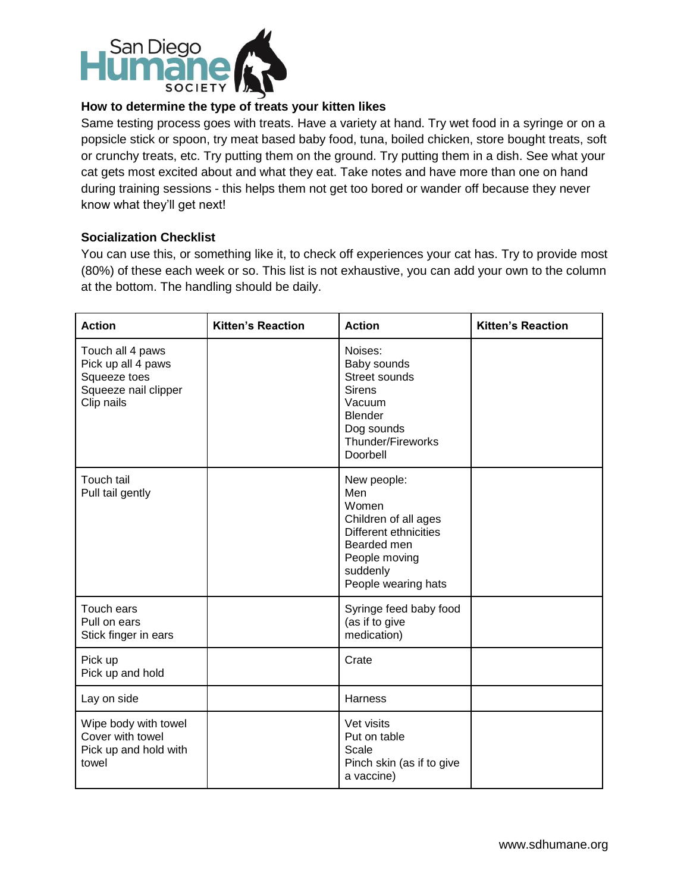

# **How to determine the type of treats your kitten likes**

Same testing process goes with treats. Have a variety at hand. Try wet food in a syringe or on a popsicle stick or spoon, try meat based baby food, tuna, boiled chicken, store bought treats, soft or crunchy treats, etc. Try putting them on the ground. Try putting them in a dish. See what your cat gets most excited about and what they eat. Take notes and have more than one on hand during training sessions - this helps them not get too bored or wander off because they never know what they'll get next!

## **Socialization Checklist**

You can use this, or something like it, to check off experiences your cat has. Try to provide most (80%) of these each week or so. This list is not exhaustive, you can add your own to the column at the bottom. The handling should be daily.

| <b>Action</b>                                                                                | <b>Kitten's Reaction</b> | <b>Action</b>                                                                                                                                   | <b>Kitten's Reaction</b> |
|----------------------------------------------------------------------------------------------|--------------------------|-------------------------------------------------------------------------------------------------------------------------------------------------|--------------------------|
| Touch all 4 paws<br>Pick up all 4 paws<br>Squeeze toes<br>Squeeze nail clipper<br>Clip nails |                          | Noises:<br>Baby sounds<br>Street sounds<br><b>Sirens</b><br>Vacuum<br><b>Blender</b><br>Dog sounds<br>Thunder/Fireworks<br>Doorbell             |                          |
| Touch tail<br>Pull tail gently                                                               |                          | New people:<br>Men<br>Women<br>Children of all ages<br>Different ethnicities<br>Bearded men<br>People moving<br>suddenly<br>People wearing hats |                          |
| Touch ears<br>Pull on ears<br>Stick finger in ears                                           |                          | Syringe feed baby food<br>(as if to give<br>medication)                                                                                         |                          |
| Pick up<br>Pick up and hold                                                                  |                          | Crate                                                                                                                                           |                          |
| Lay on side                                                                                  |                          | Harness                                                                                                                                         |                          |
| Wipe body with towel<br>Cover with towel<br>Pick up and hold with<br>towel                   |                          | Vet visits<br>Put on table<br>Scale<br>Pinch skin (as if to give<br>a vaccine)                                                                  |                          |